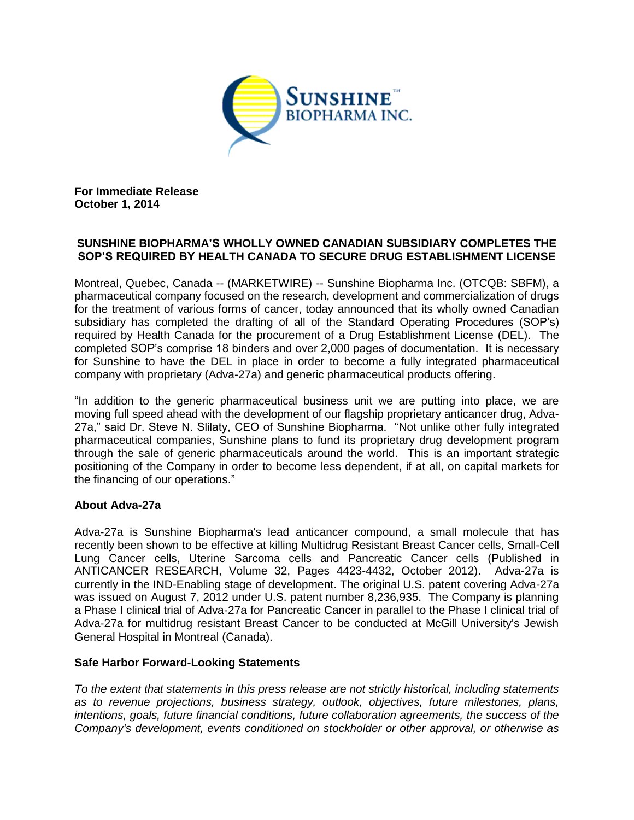

**For Immediate Release October 1, 2014**

## **SUNSHINE BIOPHARMA'S WHOLLY OWNED CANADIAN SUBSIDIARY COMPLETES THE SOP'S REQUIRED BY HEALTH CANADA TO SECURE DRUG ESTABLISHMENT LICENSE**

Montreal, Quebec, Canada -- (MARKETWIRE) -- Sunshine Biopharma Inc. (OTCQB: SBFM), a pharmaceutical company focused on the research, development and commercialization of drugs for the treatment of various forms of cancer, today announced that its wholly owned Canadian subsidiary has completed the drafting of all of the Standard Operating Procedures (SOP's) required by Health Canada for the procurement of a Drug Establishment License (DEL). The completed SOP's comprise 18 binders and over 2,000 pages of documentation. It is necessary for Sunshine to have the DEL in place in order to become a fully integrated pharmaceutical company with proprietary (Adva-27a) and generic pharmaceutical products offering.

"In addition to the generic pharmaceutical business unit we are putting into place, we are moving full speed ahead with the development of our flagship proprietary anticancer drug, Adva-27a," said Dr. Steve N. Slilaty, CEO of Sunshine Biopharma. "Not unlike other fully integrated pharmaceutical companies, Sunshine plans to fund its proprietary drug development program through the sale of generic pharmaceuticals around the world. This is an important strategic positioning of the Company in order to become less dependent, if at all, on capital markets for the financing of our operations."

## **About Adva-27a**

Adva-27a is Sunshine Biopharma's lead anticancer compound, a small molecule that has recently been shown to be effective at killing Multidrug Resistant Breast Cancer cells, Small-Cell Lung Cancer cells, Uterine Sarcoma cells and Pancreatic Cancer cells (Published in ANTICANCER RESEARCH, Volume 32, Pages 4423-4432, October 2012). Adva-27a is currently in the IND-Enabling stage of development. The original U.S. patent covering Adva-27a was issued on August 7, 2012 under U.S. patent number 8,236,935. The Company is planning a Phase I clinical trial of Adva-27a for Pancreatic Cancer in parallel to the Phase I clinical trial of Adva-27a for multidrug resistant Breast Cancer to be conducted at McGill University's Jewish General Hospital in Montreal (Canada).

## **Safe Harbor Forward-Looking Statements**

*To the extent that statements in this press release are not strictly historical, including statements as to revenue projections, business strategy, outlook, objectives, future milestones, plans, intentions, goals, future financial conditions, future collaboration agreements, the success of the Company's development, events conditioned on stockholder or other approval, or otherwise as*